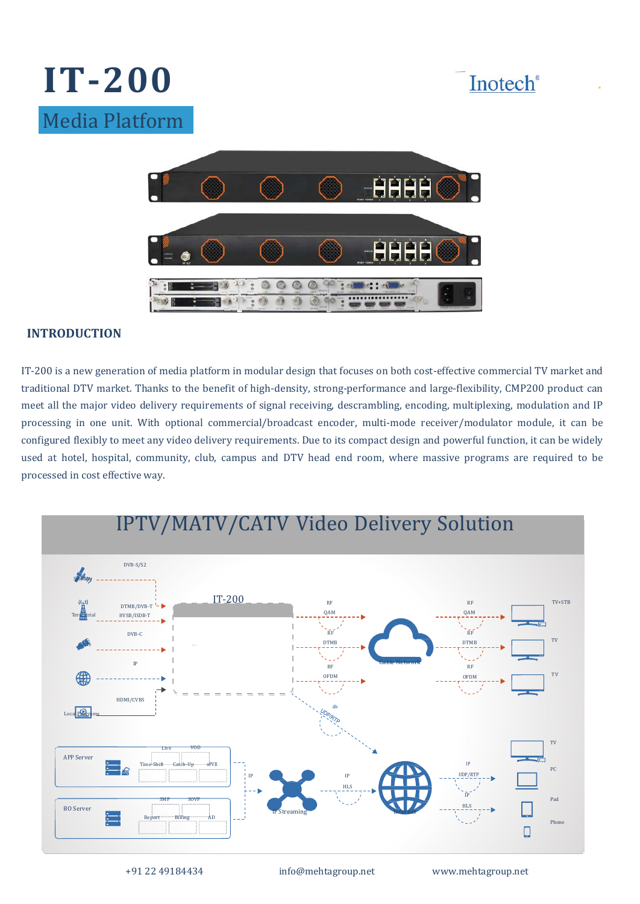





## **INTRODUCTION**

IT-200 is a new generation of media platform in modular design that focuses on both cost-effective commercial TV market and traditional DTV market. Thanks to the benefit of high-density, strong-performance and large-flexibility, CMP200 product can meet all the major video delivery requirements of signal receiving, descrambling, encoding, multiplexing, modulation and IP processing in one unit. With optional commercial/broadcast encoder, multi-mode receiver/modulator module, it can be configured flexibly to meet any video delivery requirements. Due to its compact design and powerful function, it can be widely used at hotel, hospital, community, club, campus and DTV head end room, where massive programs are required to be processed in cost effective way.